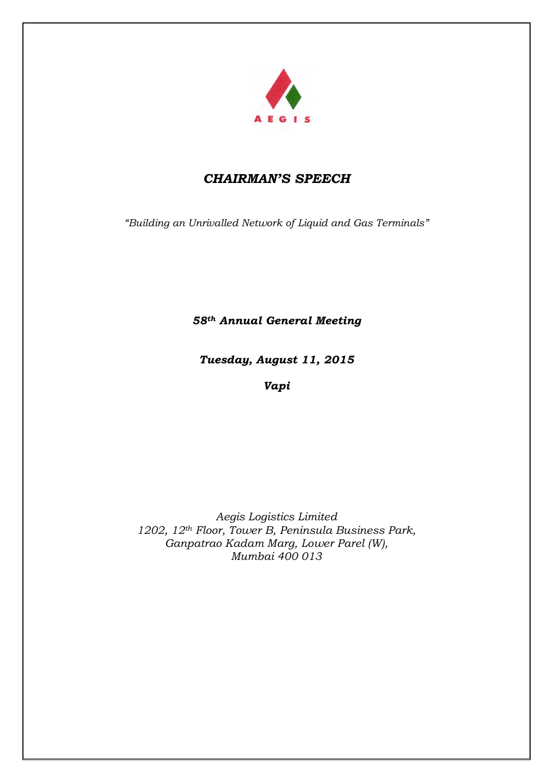

# *CHAIRMAN'S SPEECH*

*"Building an Unrivalled Network of Liquid and Gas Terminals"*

*58th Annual General Meeting*

*Tuesday, August 11, 2015*

*Vapi*

*Aegis Logistics Limited 1202, 12th Floor, Tower B, Peninsula Business Park, Ganpatrao Kadam Marg, Lower Parel (W), Mumbai 400 013*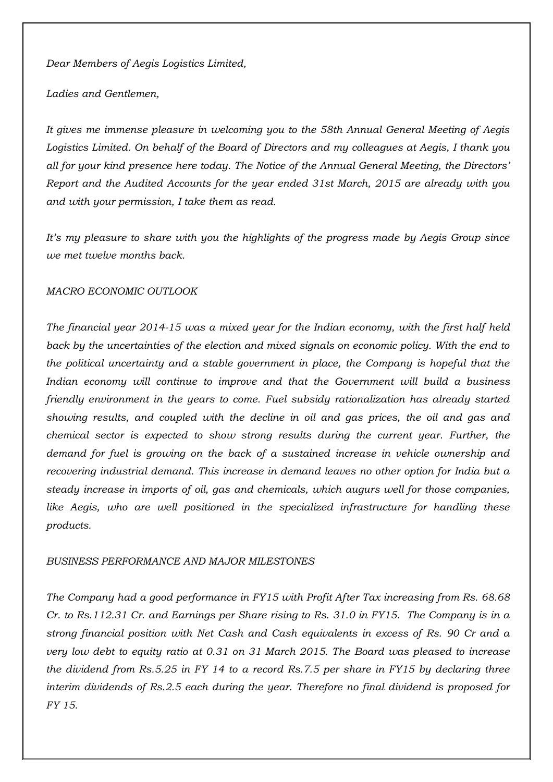*Dear Members of Aegis Logistics Limited,* 

*Ladies and Gentlemen,*

*It gives me immense pleasure in welcoming you to the 58th Annual General Meeting of Aegis Logistics Limited. On behalf of the Board of Directors and my colleagues at Aegis, I thank you all for your kind presence here today. The Notice of the Annual General Meeting, the Directors' Report and the Audited Accounts for the year ended 31st March, 2015 are already with you and with your permission, I take them as read.*

*It's my pleasure to share with you the highlights of the progress made by Aegis Group since we met twelve months back.* 

## *MACRO ECONOMIC OUTLOOK*

*The financial year 2014-15 was a mixed year for the Indian economy, with the first half held*  back by the uncertainties of the election and mixed signals on economic policy. With the end to *the political uncertainty and a stable government in place, the Company is hopeful that the Indian economy will continue to improve and that the Government will build a business friendly environment in the years to come. Fuel subsidy rationalization has already started showing results, and coupled with the decline in oil and gas prices, the oil and gas and chemical sector is expected to show strong results during the current year. Further, the demand for fuel is growing on the back of a sustained increase in vehicle ownership and recovering industrial demand. This increase in demand leaves no other option for India but a steady increase in imports of oil, gas and chemicals, which augurs well for those companies,*  like Aegis, who are well positioned in the specialized infrastructure for handling these *products.* 

### *BUSINESS PERFORMANCE AND MAJOR MILESTONES*

*The Company had a good performance in FY15 with Profit After Tax increasing from Rs. 68.68 Cr. to Rs.112.31 Cr. and Earnings per Share rising to Rs. 31.0 in FY15. The Company is in a strong financial position with Net Cash and Cash equivalents in excess of Rs. 90 Cr and a very low debt to equity ratio at 0.31 on 31 March 2015. The Board was pleased to increase the dividend from Rs.5.25 in FY 14 to a record Rs.7.5 per share in FY15 by declaring three interim dividends of Rs.2.5 each during the year. Therefore no final dividend is proposed for FY 15.*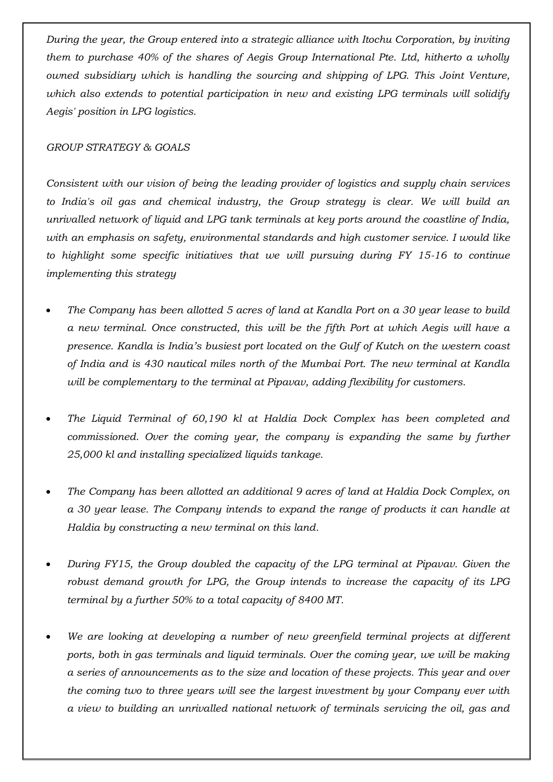*During the year, the Group entered into a strategic alliance with Itochu Corporation, by inviting them to purchase 40% of the shares of Aegis Group International Pte. Ltd, hitherto a wholly owned subsidiary which is handling the sourcing and shipping of LPG. This Joint Venture, which also extends to potential participation in new and existing LPG terminals will solidify Aegis' position in LPG logistics.*

# *GROUP STRATEGY & GOALS*

*Consistent with our vision of being the leading provider of logistics and supply chain services to India's oil gas and chemical industry, the Group strategy is clear. We will build an unrivalled network of liquid and LPG tank terminals at key ports around the coastline of India, with an emphasis on safety, environmental standards and high customer service. I would like to highlight some specific initiatives that we will pursuing during FY 15-16 to continue implementing this strategy*

- *The Company has been allotted 5 acres of land at Kandla Port on a 30 year lease to build a new terminal. Once constructed, this will be the fifth Port at which Aegis will have a presence. Kandla is India's busiest port located on the Gulf of Kutch on the western coast of India and is 430 nautical miles north of the Mumbai Port. The new terminal at Kandla will be complementary to the terminal at Pipavav, adding flexibility for customers.*
- *The Liquid Terminal of 60,190 kl at Haldia Dock Complex has been completed and commissioned. Over the coming year, the company is expanding the same by further 25,000 kl and installing specialized liquids tankage.*
- *The Company has been allotted an additional 9 acres of land at Haldia Dock Complex, on a 30 year lease. The Company intends to expand the range of products it can handle at Haldia by constructing a new terminal on this land.*
- *During FY15, the Group doubled the capacity of the LPG terminal at Pipavav. Given the*  robust demand growth for LPG, the Group intends to increase the capacity of its LPG *terminal by a further 50% to a total capacity of 8400 MT.*
- *We are looking at developing a number of new greenfield terminal projects at different*  ports, both in gas terminals and liquid terminals. Over the coming year, we will be making *a series of announcements as to the size and location of these projects. This year and over the coming two to three years will see the largest investment by your Company ever with a view to building an unrivalled national network of terminals servicing the oil, gas and*